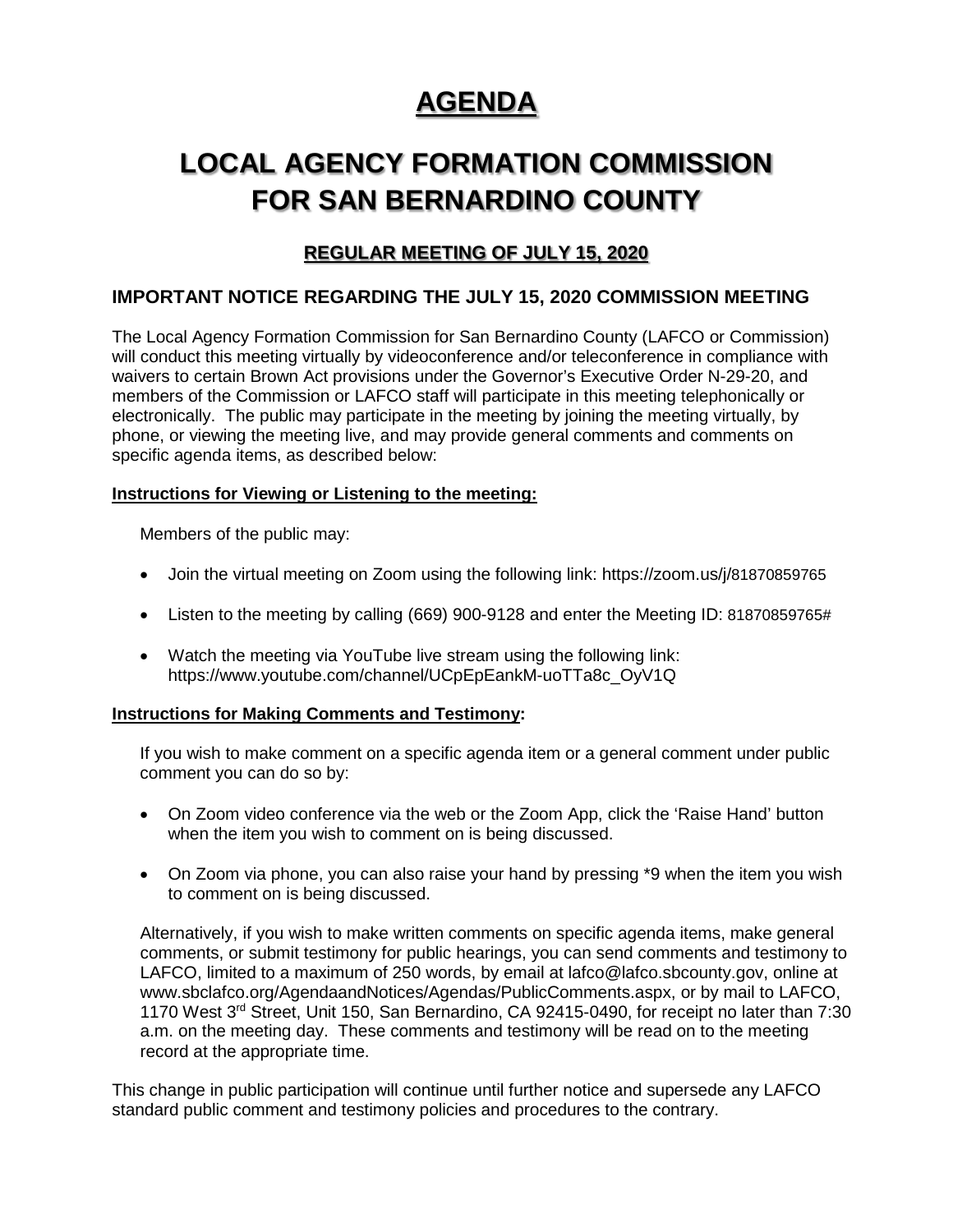# **AGENDA**

# **LOCAL AGENCY FORMATION COMMISSION FOR SAN BERNARDINO COUNTY**

## **REGULAR MEETING OF JULY 15, 2020**

## **IMPORTANT NOTICE REGARDING THE JULY 15, 2020 COMMISSION MEETING**

The Local Agency Formation Commission for San Bernardino County (LAFCO or Commission) will conduct this meeting virtually by videoconference and/or teleconference in compliance with waivers to certain Brown Act provisions under the Governor's Executive Order N-29-20, and members of the Commission or LAFCO staff will participate in this meeting telephonically or electronically. The public may participate in the meeting by joining the meeting virtually, by phone, or viewing the meeting live, and may provide general comments and comments on specific agenda items, as described below:

## **Instructions for Viewing or Listening to the meeting:**

Members of the public may:

- Join the virtual meeting on Zoom using the following link: https://zoom.us/j/81870859765
- Listen to the meeting by calling (669) 900-9128 and enter the Meeting ID: 81870859765#
- Watch the meeting via YouTube live stream using the following link: https://www.youtube.com/channel/UCpEpEankM-uoTTa8c\_OyV1Q

### **Instructions for Making Comments and Testimony:**

If you wish to make comment on a specific agenda item or a general comment under public comment you can do so by:

- On Zoom video conference via the web or the Zoom App, click the 'Raise Hand' button when the item you wish to comment on is being discussed.
- On Zoom via phone, you can also raise your hand by pressing \*9 when the item you wish to comment on is being discussed.

Alternatively, if you wish to make written comments on specific agenda items, make general comments, or submit testimony for public hearings, you can send comments and testimony to LAFCO, limited to a maximum of 250 words, by email at lafco@lafco.sbcounty.gov, online at www.sbclafco.org/AgendaandNotices/Agendas/PublicComments.aspx, or by mail to LAFCO, 1170 West 3rd Street, Unit 150, San Bernardino, CA 92415-0490, for receipt no later than 7:30 a.m. on the meeting day. These comments and testimony will be read on to the meeting record at the appropriate time.

This change in public participation will continue until further notice and supersede any LAFCO standard public comment and testimony policies and procedures to the contrary.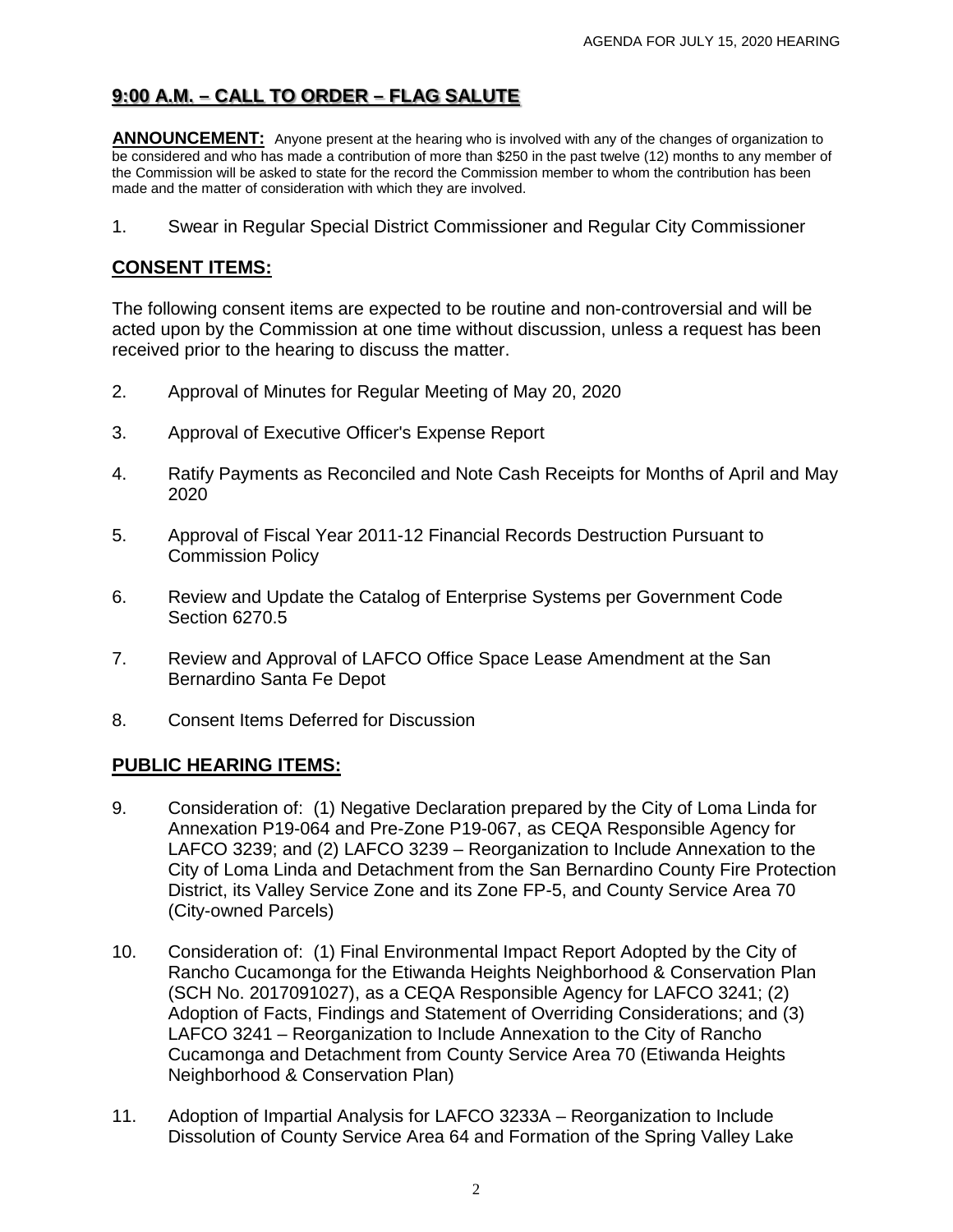## **9:00 A.M. – CALL TO ORDER – FLAG SALUTE**

ANNOUNCEMENT: Anyone present at the hearing who is involved with any of the changes of organization to be considered and who has made a contribution of more than \$250 in the past twelve (12) months to any member of the Commission will be asked to state for the record the Commission member to whom the contribution has been made and the matter of consideration with which they are involved.

1. Swear in Regular Special District Commissioner and Regular City Commissioner

## **CONSENT ITEMS:**

The following consent items are expected to be routine and non-controversial and will be acted upon by the Commission at one time without discussion, unless a request has been received prior to the hearing to discuss the matter.

- 2. Approval of Minutes for Regular Meeting of May 20, 2020
- 3. Approval of Executive Officer's Expense Report
- 4. Ratify Payments as Reconciled and Note Cash Receipts for Months of April and May 2020
- 5. Approval of Fiscal Year 2011-12 Financial Records Destruction Pursuant to Commission Policy
- 6. Review and Update the Catalog of Enterprise Systems per Government Code Section 6270.5
- 7. Review and Approval of LAFCO Office Space Lease Amendment at the San Bernardino Santa Fe Depot
- 8. Consent Items Deferred for Discussion

## **PUBLIC HEARING ITEMS:**

- 9. Consideration of: (1) Negative Declaration prepared by the City of Loma Linda for Annexation P19-064 and Pre-Zone P19-067, as CEQA Responsible Agency for LAFCO 3239; and (2) LAFCO 3239 – Reorganization to Include Annexation to the City of Loma Linda and Detachment from the San Bernardino County Fire Protection District, its Valley Service Zone and its Zone FP-5, and County Service Area 70 (City-owned Parcels)
- 10. Consideration of: (1) Final Environmental Impact Report Adopted by the City of Rancho Cucamonga for the Etiwanda Heights Neighborhood & Conservation Plan (SCH No. 2017091027), as a CEQA Responsible Agency for LAFCO 3241; (2) Adoption of Facts, Findings and Statement of Overriding Considerations; and (3) LAFCO 3241 – Reorganization to Include Annexation to the City of Rancho Cucamonga and Detachment from County Service Area 70 (Etiwanda Heights Neighborhood & Conservation Plan)
- 11. Adoption of Impartial Analysis for LAFCO 3233A Reorganization to Include Dissolution of County Service Area 64 and Formation of the Spring Valley Lake